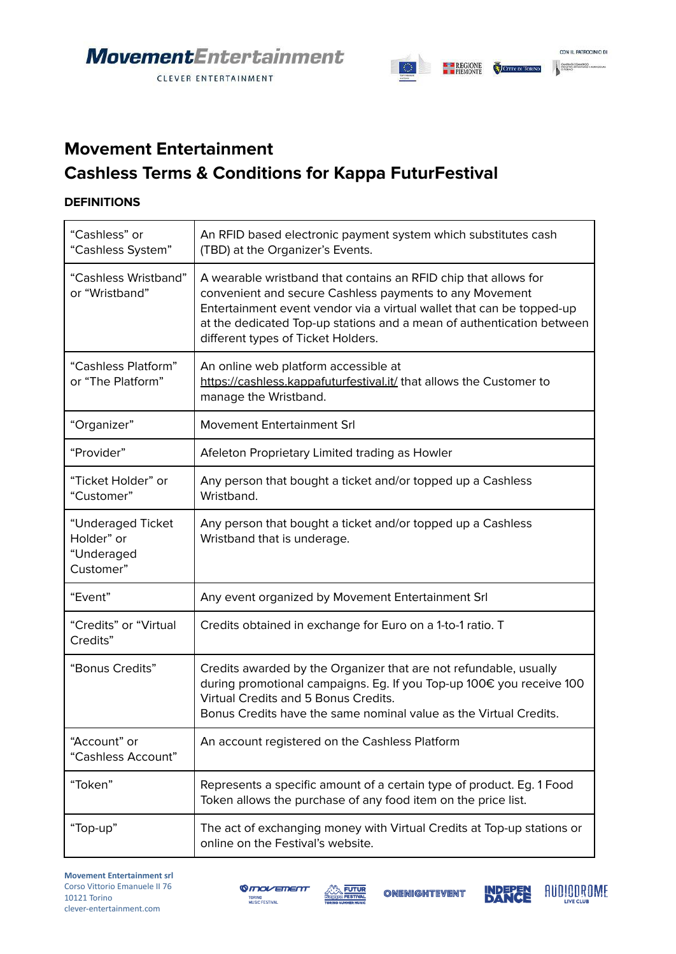CLEVER ENTERTAINMENT



### **Movement Entertainment Cashless Terms & Conditions for Kappa FuturFestival**

#### **DEFINITIONS**

| "Cashless" or<br>"Cashless System"                         | An RFID based electronic payment system which substitutes cash<br>(TBD) at the Organizer's Events.                                                                                                                                                                                                                 |
|------------------------------------------------------------|--------------------------------------------------------------------------------------------------------------------------------------------------------------------------------------------------------------------------------------------------------------------------------------------------------------------|
| "Cashless Wristband"<br>or "Wristband"                     | A wearable wristband that contains an RFID chip that allows for<br>convenient and secure Cashless payments to any Movement<br>Entertainment event vendor via a virtual wallet that can be topped-up<br>at the dedicated Top-up stations and a mean of authentication between<br>different types of Ticket Holders. |
| "Cashless Platform"<br>or "The Platform"                   | An online web platform accessible at<br>https://cashless.kappafuturfestival.it/ that allows the Customer to<br>manage the Wristband.                                                                                                                                                                               |
| "Organizer"                                                | Movement Entertainment Srl                                                                                                                                                                                                                                                                                         |
| "Provider"                                                 | Afeleton Proprietary Limited trading as Howler                                                                                                                                                                                                                                                                     |
| "Ticket Holder" or<br>"Customer"                           | Any person that bought a ticket and/or topped up a Cashless<br>Wristband.                                                                                                                                                                                                                                          |
| "Underaged Ticket<br>Holder" or<br>"Underaged<br>Customer" | Any person that bought a ticket and/or topped up a Cashless<br>Wristband that is underage.                                                                                                                                                                                                                         |
| "Event"                                                    | Any event organized by Movement Entertainment Srl                                                                                                                                                                                                                                                                  |
| "Credits" or "Virtual<br>Credits"                          | Credits obtained in exchange for Euro on a 1-to-1 ratio. T                                                                                                                                                                                                                                                         |
| "Bonus Credits"                                            | Credits awarded by the Organizer that are not refundable, usually<br>during promotional campaigns. Eg. If you Top-up 100€ you receive 100<br>Virtual Credits and 5 Bonus Credits.<br>Bonus Credits have the same nominal value as the Virtual Credits.                                                             |
| "Account" or<br>"Cashless Account"                         | An account registered on the Cashless Platform                                                                                                                                                                                                                                                                     |
| "Token"                                                    | Represents a specific amount of a certain type of product. Eg. 1 Food<br>Token allows the purchase of any food item on the price list.                                                                                                                                                                             |
| "Top-up"                                                   | The act of exchanging money with Virtual Credits at Top-up stations or<br>online on the Festival's website.                                                                                                                                                                                                        |





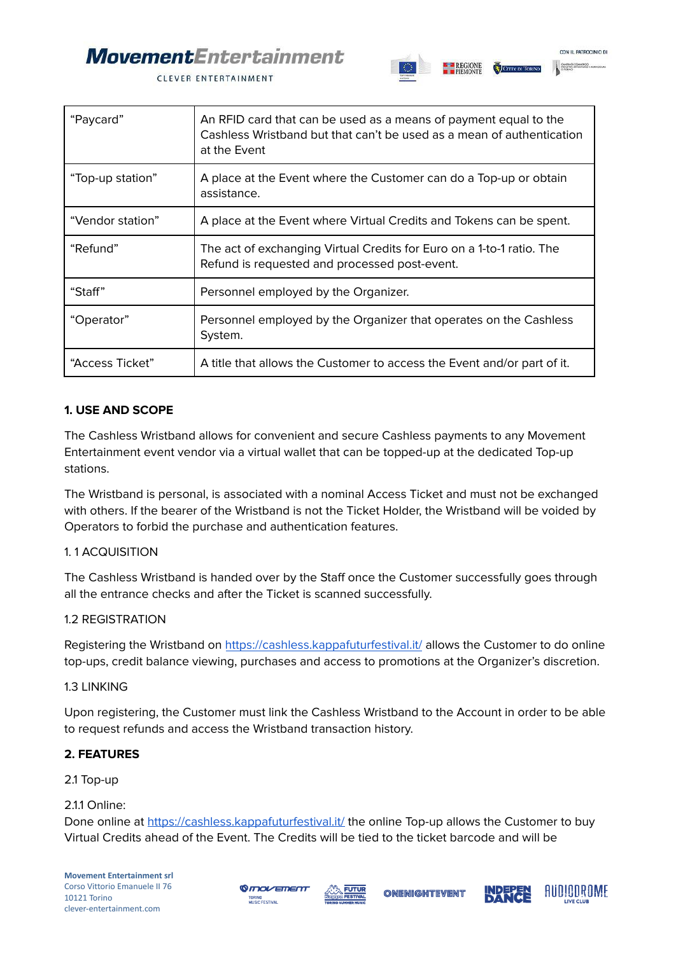# **MovementEntertainment**



CLEVER ENTERTAINMENT

| "Paycard"        | An RFID card that can be used as a means of payment equal to the<br>Cashless Wristband but that can't be used as a mean of authentication<br>at the Event |
|------------------|-----------------------------------------------------------------------------------------------------------------------------------------------------------|
| "Top-up station" | A place at the Event where the Customer can do a Top-up or obtain<br>assistance.                                                                          |
| "Vendor station" | A place at the Event where Virtual Credits and Tokens can be spent.                                                                                       |
| "Refund"         | The act of exchanging Virtual Credits for Euro on a 1-to-1 ratio. The<br>Refund is requested and processed post-event.                                    |
| "Staff"          | Personnel employed by the Organizer.                                                                                                                      |
| "Operator"       | Personnel employed by the Organizer that operates on the Cashless<br>System.                                                                              |
| "Access Ticket"  | A title that allows the Customer to access the Event and/or part of it.                                                                                   |

#### **1. USE AND SCOPE**

The Cashless Wristband allows for convenient and secure Cashless payments to any Movement Entertainment event vendor via a virtual wallet that can be topped-up at the dedicated Top-up stations.

The Wristband is personal, is associated with a nominal Access Ticket and must not be exchanged with others. If the bearer of the Wristband is not the Ticket Holder, the Wristband will be voided by Operators to forbid the purchase and authentication features.

#### 1. 1 ACQUISITION

The Cashless Wristband is handed over by the Staff once the Customer successfully goes through all the entrance checks and after the Ticket is scanned successfully.

#### 1.2 REGISTRATION

Registering the Wristband on <https://cashless.kappafuturfestival.it/> allows the Customer to do online top-ups, credit balance viewing, purchases and access to promotions at the Organizer's discretion.

#### 1.3 LINKING

Upon registering, the Customer must link the Cashless Wristband to the Account in order to be able to request refunds and access the Wristband transaction history.

#### **2. FEATURES**

2.1 Top-up

#### 2.1.1 Online:

Done online at <https://cashless.kappafuturfestival.it/> the online Top-up allows the Customer to buy Virtual Credits ahead of the Event. The Credits will be tied to the ticket barcode and will be







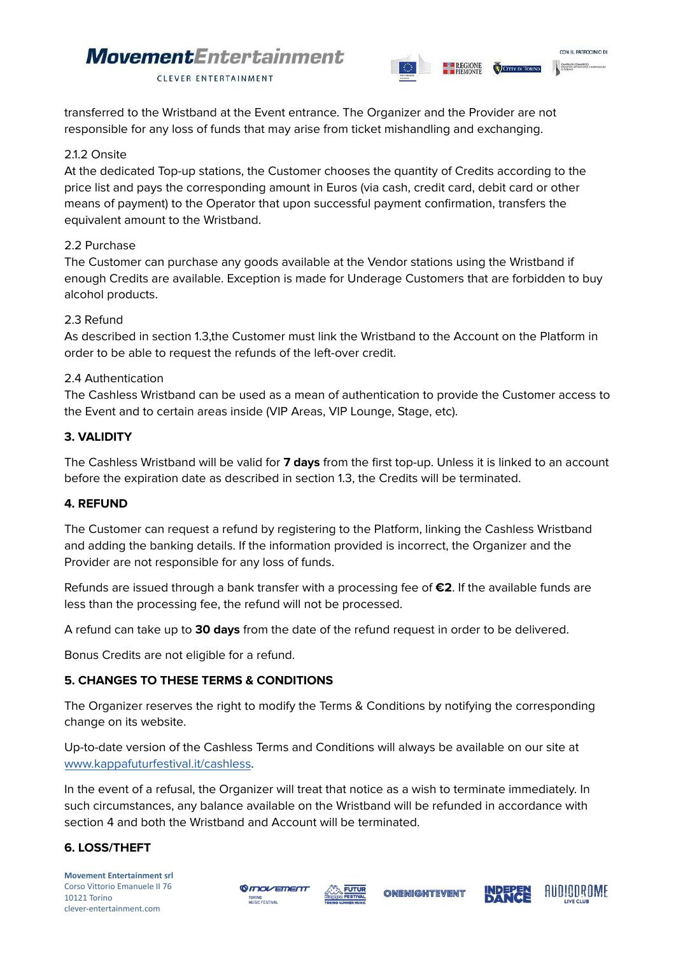## **Movement**Entertainment



CLEVER ENTERTAINMENT

transferred to the Wristband at the Event entrance. The Organizer and the Provider are not responsible for any loss of funds that may arise from ticket mishandling and exchanging.

#### 2.1.2 Onsite

At the dedicated Top-up stations, the Customer chooses the quantity of Credits according to the price list and pays the corresponding amount in Euros (via cash, credit card, debit card or other means of payment) to the Operator that upon successful payment confirmation, transfers the equivalent amount to the Wristband.

#### 2.2 Purchase

The Customer can purchase any goods available at the Vendor stations using the Wristband if enough Credits are available. Exception is made for Underage Customers that are forbidden to buy alcohol products.

#### 2.3 Refund

As described in section 1.3,the Customer must link the Wristband to the Account on the Platform in order to be able to request the refunds of the left-over credit.

#### 2.4 Authentication

The Cashless Wristband can be used as a mean of authentication to provide the Customer access to the Event and to certain areas inside (VIP Areas, VIP Lounge, Stage, etc).

#### **3. VALIDITY**

The Cashless Wristband will be valid for **7 days** from the first top-up. Unless it is linked to an account before the expiration date as described in section 1.3, the Credits will be terminated.

#### **4. REFUND**

The Customer can request a refund by registering to the Platform, linking the Cashless Wristband and adding the banking details. If the information provided is incorrect, the Organizer and the Provider are not responsible for any loss of funds.

Refunds are issued through a bank transfer with a processing fee of **€2**. If the available funds are less than the processing fee, the refund will not be processed.

A refund can take up to **30 days** from the date of the refund request in order to be delivered.

Bonus Credits are not eligible for a refund.

#### **5. CHANGES TO THESE TERMS & CONDITIONS**

The Organizer reserves the right to modify the Terms & Conditions by notifying the corresponding change on its website.

Up-to-date version of the Cashless Terms and Conditions will always be available on our site at [www.kappafuturfestival.it/cashless](http://www.kappafuturfestival.it/cashless).

In the event of a refusal, the Organizer will treat that notice as a wish to terminate immediately. In such circumstances, any balance available on the Wristband will be refunded in accordance with section 4 and both the Wristband and Account will be terminated.

#### **6. LOSS/THEFT**

**Movement Entertainment srl** Corso Vittorio Emanuele II 76 10121 Torino clever-entertainment.com